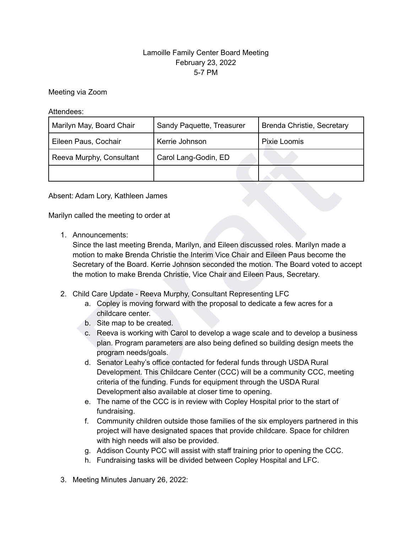## Lamoille Family Center Board Meeting February 23, 2022 5-7 PM

Meeting via Zoom

Attendees:

| Marilyn May, Board Chair                                                                                                                                                                                                                                                                                                                                               | Sandy Paquette, Treasurer | Brenda Christie, Secretary |
|------------------------------------------------------------------------------------------------------------------------------------------------------------------------------------------------------------------------------------------------------------------------------------------------------------------------------------------------------------------------|---------------------------|----------------------------|
| Eileen Paus, Cochair                                                                                                                                                                                                                                                                                                                                                   | Kerrie Johnson            | Pixie Loomis               |
| Reeva Murphy, Consultant                                                                                                                                                                                                                                                                                                                                               | Carol Lang-Godin, ED      |                            |
|                                                                                                                                                                                                                                                                                                                                                                        |                           |                            |
| Absent: Adam Lory, Kathleen James                                                                                                                                                                                                                                                                                                                                      |                           |                            |
| Marilyn called the meeting to order at                                                                                                                                                                                                                                                                                                                                 |                           |                            |
| 1. Announcements:<br>Since the last meeting Brenda, Marilyn, and Eileen discussed roles. Marilyn made a<br>motion to make Brenda Christie the Interim Vice Chair and Eileen Paus become the<br>Secretary of the Board. Kerrie Johnson seconded the motion. The Board voted to accept<br>the motion to make Brenda Christie, Vice Chair and Eileen Paus, Secretary.     |                           |                            |
| 2. Child Care Update - Reeva Murphy, Consultant Representing LFC<br>a. Copley is moving forward with the proposal to dedicate a few acres for a<br>childcare center.<br>b. Site map to be created.<br>c. Reeva is working with Carol to develop a wage scale and to develop a business<br>plan. Program parameters are also being defined so building design meets the |                           |                            |
| program needs/goals.<br>d. Senator Leahy's office contacted for federal funds through USDA Rural<br>Development. This Childcare Center (CCC) will be a community CCC, meeting<br>criteria of the funding. Funds for equipment through the USDA Rural<br>Development also available at closer time to opening.                                                          |                           |                            |

- 2. Child Care Update Reeva Murphy, Consultant Representing LFC
	- a. Copley is moving forward with the proposal to dedicate a few acres for a childcare center.
	- b. Site map to be created.
	- c. Reeva is working with Carol to develop a wage scale and to develop a business plan. Program parameters are also being defined so building design meets the program needs/goals.
	- d. Senator Leahy's office contacted for federal funds through USDA Rural Development. This Childcare Center (CCC) will be a community CCC, meeting criteria of the funding. Funds for equipment through the USDA Rural Development also available at closer time to opening.
	- e. The name of the CCC is in review with Copley Hospital prior to the start of fundraising.
	- f. Community children outside those families of the six employers partnered in this project will have designated spaces that provide childcare. Space for children with high needs will also be provided.
	- g. Addison County PCC will assist with staff training prior to opening the CCC.
	- h. Fundraising tasks will be divided between Copley Hospital and LFC.
- 3. Meeting Minutes January 26, 2022: